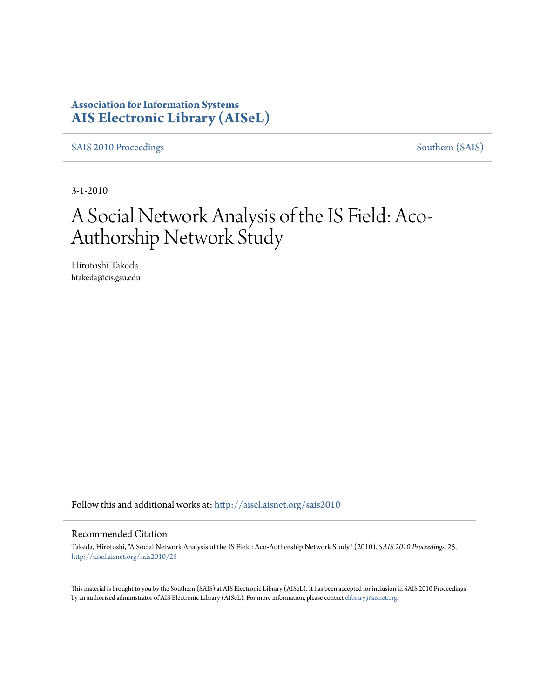### **Association for Information Systems [AIS Electronic Library \(AISeL\)](http://aisel.aisnet.org?utm_source=aisel.aisnet.org%2Fsais2010%2F25&utm_medium=PDF&utm_campaign=PDFCoverPages)**

[SAIS 2010 Proceedings](http://aisel.aisnet.org/sais2010?utm_source=aisel.aisnet.org%2Fsais2010%2F25&utm_medium=PDF&utm_campaign=PDFCoverPages) [Southern \(SAIS\)](http://aisel.aisnet.org/sais?utm_source=aisel.aisnet.org%2Fsais2010%2F25&utm_medium=PDF&utm_campaign=PDFCoverPages)

3-1-2010

# A Social Network Analysis of the IS Field: Aco-Authorship Network Study

Hirotoshi Takeda htakeda@cis.gsu.edu

Follow this and additional works at: [http://aisel.aisnet.org/sais2010](http://aisel.aisnet.org/sais2010?utm_source=aisel.aisnet.org%2Fsais2010%2F25&utm_medium=PDF&utm_campaign=PDFCoverPages)

#### Recommended Citation

Takeda, Hirotoshi, "A Social Network Analysis of the IS Field: Aco-Authorship Network Study" (2010). *SAIS 2010 Proceedings*. 25. [http://aisel.aisnet.org/sais2010/25](http://aisel.aisnet.org/sais2010/25?utm_source=aisel.aisnet.org%2Fsais2010%2F25&utm_medium=PDF&utm_campaign=PDFCoverPages)

This material is brought to you by the Southern (SAIS) at AIS Electronic Library (AISeL). It has been accepted for inclusion in SAIS 2010 Proceedings by an authorized administrator of AIS Electronic Library (AISeL). For more information, please contact [elibrary@aisnet.org](mailto:elibrary@aisnet.org%3E).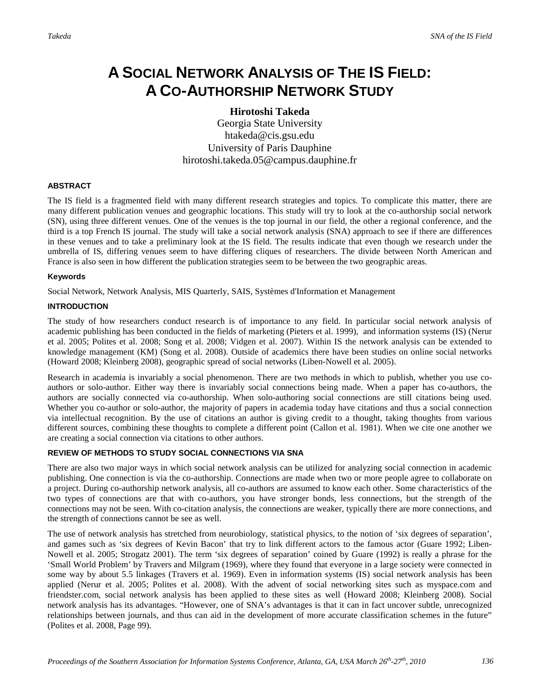## **A SOCIAL NETWORK ANALYSIS OF THE IS FIELD: A CO-AUTHORSHIP NETWORK STUDY**

**Hirotoshi Takeda**

Georgia State University htakeda@cis.gsu.edu University of Paris Dauphine hirotoshi.takeda.05@campus.dauphine.fr

#### **ABSTRACT**

The IS field is a fragmented field with many different research strategies and topics. To complicate this matter, there are many different publication venues and geographic locations. This study will try to look at the co-authorship social network (SN), using three different venues. One of the venues is the top journal in our field, the other a regional conference, and the third is a top French IS journal. The study will take a social network analysis (SNA) approach to see if there are differences in these venues and to take a preliminary look at the IS field. The results indicate that even though we research under the umbrella of IS, differing venues seem to have differing cliques of researchers. The divide between North American and France is also seen in how different the publication strategies seem to be between the two geographic areas.

#### **Keywords**

Social Network, Network Analysis, MIS Quarterly, SAIS, Systèmes d'Information et Management

#### **INTRODUCTION**

The study of how researchers conduct research is of importance to any field. In particular social network analysis of academic publishing has been conducted in the fields of marketing (Pieters et al. 1999), and information systems (IS) (Nerur et al. 2005; Polites et al. 2008; Song et al. 2008; Vidgen et al. 2007). Within IS the network analysis can be extended to knowledge management (KM) (Song et al. 2008). Outside of academics there have been studies on online social networks (Howard 2008; Kleinberg 2008), geographic spread of social networks (Liben-Nowell et al. 2005).

Research in academia is invariably a social phenomenon. There are two methods in which to publish, whether you use coauthors or solo-author. Either way there is invariably social connections being made. When a paper has co-authors, the authors are socially connected via co-authorship. When solo-authoring social connections are still citations being used. Whether you co-author or solo-author, the majority of papers in academia today have citations and thus a social connection via intellectual recognition. By the use of citations an author is giving credit to a thought, taking thoughts from various different sources, combining these thoughts to complete a different point (Callon et al. 1981). When we cite one another we are creating a social connection via citations to other authors.

#### **REVIEW OF METHODS TO STUDY SOCIAL CONNECTIONS VIA SNA**

There are also two major ways in which social network analysis can be utilized for analyzing social connection in academic publishing. One connection is via the co-authorship. Connections are made when two or more people agree to collaborate on a project. During co-authorship network analysis, all co-authors are assumed to know each other. Some characteristics of the two types of connections are that with co-authors, you have stronger bonds, less connections, but the strength of the connections may not be seen. With co-citation analysis, the connections are weaker, typically there are more connections, and the strength of connections cannot be see as well.

The use of network analysis has stretched from neurobiology, statistical physics, to the notion of 'six degrees of separation', and games such as 'six degrees of Kevin Bacon' that try to link different actors to the famous actor (Guare 1992; Liben-Nowell et al. 2005; Strogatz 2001). The term 'six degrees of separation' coined by Guare (1992) is really a phrase for the 'Small World Problem' by Travers and Milgram (1969), where they found that everyone in a large society were connected in some way by about 5.5 linkages (Travers et al. 1969). Even in information systems (IS) social network analysis has been applied (Nerur et al. 2005; Polites et al. 2008). With the advent of social networking sites such as myspace.com and friendster.com, social network analysis has been applied to these sites as well (Howard 2008; Kleinberg 2008). Social network analysis has its advantages. "However, one of SNA's advantages is that it can in fact uncover subtle, unrecognized relationships between journals, and thus can aid in the development of more accurate classification schemes in the future" (Polites et al. 2008, Page 99).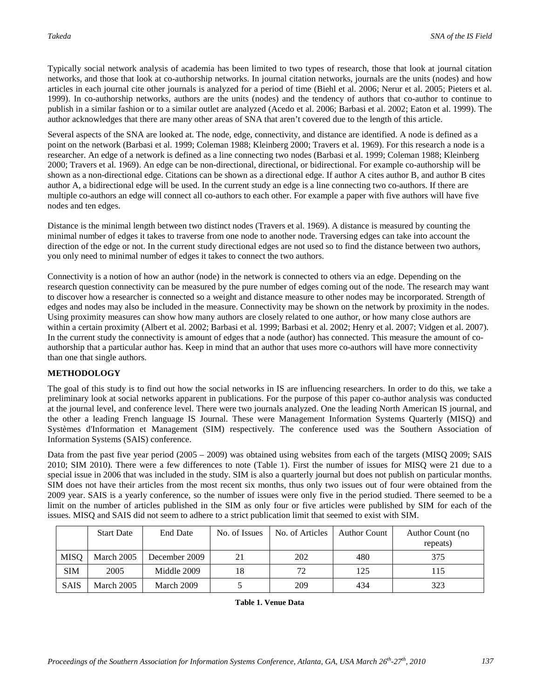Typically social network analysis of academia has been limited to two types of research, those that look at journal citation networks, and those that look at co-authorship networks. In journal citation networks, journals are the units (nodes) and how articles in each journal cite other journals is analyzed for a period of time (Biehl et al. 2006; Nerur et al. 2005; Pieters et al. 1999). In co-authorship networks, authors are the units (nodes) and the tendency of authors that co-author to continue to publish in a similar fashion or to a similar outlet are analyzed (Acedo et al. 2006; Barbasi et al. 2002; Eaton et al. 1999). The author acknowledges that there are many other areas of SNA that aren't covered due to the length of this article.

Several aspects of the SNA are looked at. The node, edge, connectivity, and distance are identified. A node is defined as a point on the network (Barbasi et al. 1999; Coleman 1988; Kleinberg 2000; Travers et al. 1969). For this research a node is a researcher. An edge of a network is defined as a line connecting two nodes (Barbasi et al. 1999; Coleman 1988; Kleinberg 2000; Travers et al. 1969). An edge can be non-directional, directional, or bidirectional. For example co-authorship will be shown as a non-directional edge. Citations can be shown as a directional edge. If author A cites author B, and author B cites author A, a bidirectional edge will be used. In the current study an edge is a line connecting two co-authors. If there are multiple co-authors an edge will connect all co-authors to each other. For example a paper with five authors will have five nodes and ten edges.

Distance is the minimal length between two distinct nodes (Travers et al. 1969). A distance is measured by counting the minimal number of edges it takes to traverse from one node to another node. Traversing edges can take into account the direction of the edge or not. In the current study directional edges are not used so to find the distance between two authors, you only need to minimal number of edges it takes to connect the two authors.

Connectivity is a notion of how an author (node) in the network is connected to others via an edge. Depending on the research question connectivity can be measured by the pure number of edges coming out of the node. The research may want to discover how a researcher is connected so a weight and distance measure to other nodes may be incorporated. Strength of edges and nodes may also be included in the measure. Connectivity may be shown on the network by proximity in the nodes. Using proximity measures can show how many authors are closely related to one author, or how many close authors are within a certain proximity (Albert et al. 2002; Barbasi et al. 1999; Barbasi et al. 2002; Henry et al. 2007; Vidgen et al. 2007). In the current study the connectivity is amount of edges that a node (author) has connected. This measure the amount of coauthorship that a particular author has. Keep in mind that an author that uses more co-authors will have more connectivity than one that single authors.

#### **METHODOLOGY**

The goal of this study is to find out how the social networks in IS are influencing researchers. In order to do this, we take a preliminary look at social networks apparent in publications. For the purpose of this paper co-author analysis was conducted at the journal level, and conference level. There were two journals analyzed. One the leading North American IS journal, and the other a leading French language IS Journal. These were Management Information Systems Quarterly (MISQ) and Systèmes d'Information et Management (SIM) respectively. The conference used was the Southern Association of Information Systems (SAIS) conference.

Data from the past five year period (2005 – 2009) was obtained using websites from each of the targets (MISQ 2009; SAIS 2010; SIM 2010). There were a few differences to note (Table 1). First the number of issues for MISQ were 21 due to a special issue in 2006 that was included in the study. SIM is also a quarterly journal but does not publish on particular months. SIM does not have their articles from the most recent six months, thus only two issues out of four were obtained from the 2009 year. SAIS is a yearly conference, so the number of issues were only five in the period studied. There seemed to be a limit on the number of articles published in the SIM as only four or five articles were published by SIM for each of the issues. MISQ and SAIS did not seem to adhere to a strict publication limit that seemed to exist with SIM.

|             | <b>Start Date</b> | End Date      | No. of Issues | No. of Articles | <b>Author Count</b> | Author Count (no<br>repeats) |
|-------------|-------------------|---------------|---------------|-----------------|---------------------|------------------------------|
| <b>MISQ</b> | March 2005        | December 2009 | 21            | 202             | 480                 | 375                          |
| <b>SIM</b>  | 2005              | Middle 2009   | 18            | 72              | 125                 | 115                          |
| <b>SAIS</b> | March 2005        | March 2009    |               | 209             | 434                 | 323                          |

**Table 1. Venue Data**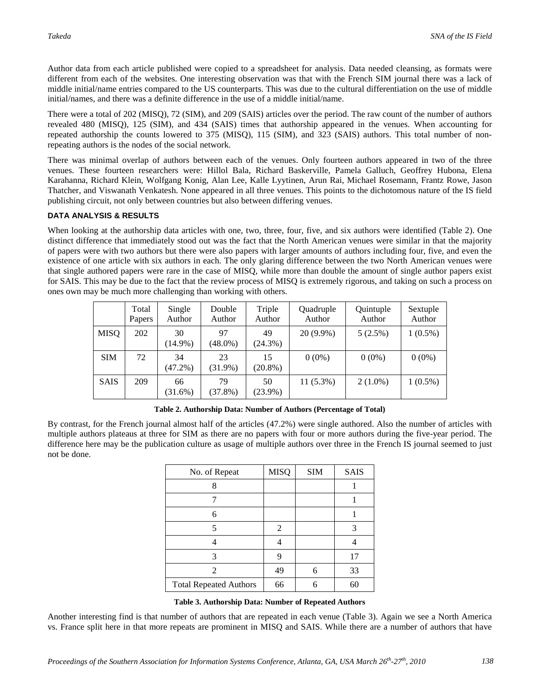Author data from each article published were copied to a spreadsheet for analysis. Data needed cleansing, as formats were different from each of the websites. One interesting observation was that with the French SIM journal there was a lack of middle initial/name entries compared to the US counterparts. This was due to the cultural differentiation on the use of middle initial/names, and there was a definite difference in the use of a middle initial/name.

There were a total of 202 (MISQ), 72 (SIM), and 209 (SAIS) articles over the period. The raw count of the number of authors revealed 480 (MISQ), 125 (SIM), and 434 (SAIS) times that authorship appeared in the venues. When accounting for repeated authorship the counts lowered to 375 (MISQ), 115 (SIM), and 323 (SAIS) authors. This total number of nonrepeating authors is the nodes of the social network.

There was minimal overlap of authors between each of the venues. Only fourteen authors appeared in two of the three venues. These fourteen researchers were: Hillol Bala, Richard Baskerville, Pamela Galluch, Geoffrey Hubona, Elena Karahanna, Richard Klein, Wolfgang Konig, Alan Lee, Kalle Lyytinen, Arun Rai, Michael Rosemann, Frantz Rowe, Jason Thatcher, and Viswanath Venkatesh. None appeared in all three venues. This points to the dichotomous nature of the IS field publishing circuit, not only between countries but also between differing venues.

#### **DATA ANALYSIS & RESULTS**

When looking at the authorship data articles with one, two, three, four, five, and six authors were identified (Table 2). One distinct difference that immediately stood out was the fact that the North American venues were similar in that the majority of papers were with two authors but there were also papers with larger amounts of authors including four, five, and even the existence of one article with six authors in each. The only glaring difference between the two North American venues were that single authored papers were rare in the case of MISQ, while more than double the amount of single author papers exist for SAIS. This may be due to the fact that the review process of MISQ is extremely rigorous, and taking on such a process on ones own may be much more challenging than working with others.

|             | Total<br>Papers | Single<br>Author | Double<br>Author | Triple<br>Author | Quadruple<br>Author | Quintuple<br>Author | Sextuple<br>Author |
|-------------|-----------------|------------------|------------------|------------------|---------------------|---------------------|--------------------|
| <b>MISQ</b> | 202             | 30<br>$(14.9\%)$ | 97<br>$(48.0\%)$ | 49<br>$(24.3\%)$ | $20(9.9\%)$         | 5(2.5%)             | $1(0.5\%)$         |
| <b>SIM</b>  | 72              | 34<br>$(47.2\%)$ | 23<br>$(31.9\%)$ | 15<br>$(20.8\%)$ | $0(0\%)$            | $0(0\%)$            | $0(0\%)$           |
| <b>SAIS</b> | 209             | 66<br>(31.6%)    | 79<br>$(37.8\%)$ | 50<br>$(23.9\%)$ | $11(5.3\%)$         | $2(1.0\%)$          | $1(0.5\%)$         |

**Table 2. Authorship Data: Number of Authors (Percentage of Total)**

By contrast, for the French journal almost half of the articles (47.2%) were single authored. Also the number of articles with multiple authors plateaus at three for SIM as there are no papers with four or more authors during the five-year period. The difference here may be the publication culture as usage of multiple authors over three in the French IS journal seemed to just not be done.

|   | 3  |
|---|----|
|   |    |
|   | 17 |
| 6 | 33 |
| 6 | 60 |
|   |    |

#### **Table 3. Authorship Data: Number of Repeated Authors**

Another interesting find is that number of authors that are repeated in each venue (Table 3). Again we see a North America vs. France split here in that more repeats are prominent in MISQ and SAIS. While there are a number of authors that have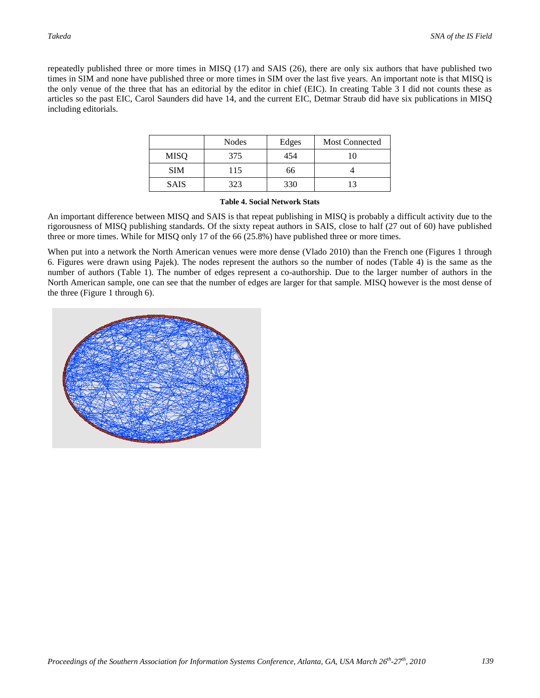repeatedly published three or more times in MISQ (17) and SAIS (26), there are only six authors that have published two times in SIM and none have published three or more times in SIM over the last five years. An important note is that MISQ is the only venue of the three that has an editorial by the editor in chief (EIC). In creating Table 3 I did not counts these as articles so the past EIC, Carol Saunders did have 14, and the current EIC, Detmar Straub did have six publications in MISQ including editorials.

|             | <b>Nodes</b> | Edges | <b>Most Connected</b> |
|-------------|--------------|-------|-----------------------|
| <b>MISO</b> | 375          | 454   | 10                    |
| <b>SIM</b>  | 115          | 66    |                       |
| <b>SAIS</b> | 323          | 330   |                       |

#### **Table 4. Social Network Stats**

An important difference between MISQ and SAIS is that repeat publishing in MISQ is probably a difficult activity due to the rigorousness of MISQ publishing standards. Of the sixty repeat authors in SAIS, close to half (27 out of 60) have published three or more times. While for MISQ only 17 of the 66 (25.8%) have published three or more times.

When put into a network the North American venues were more dense (Vlado 2010) than the French one (Figures 1 through 6. Figures were drawn using Pajek). The nodes represent the authors so the number of nodes (Table 4) is the same as the number of authors (Table 1). The number of edges represent a co-authorship. Due to the larger number of authors in the North American sample, one can see that the number of edges are larger for that sample. MISQ however is the most dense of the three (Figure 1 through 6).

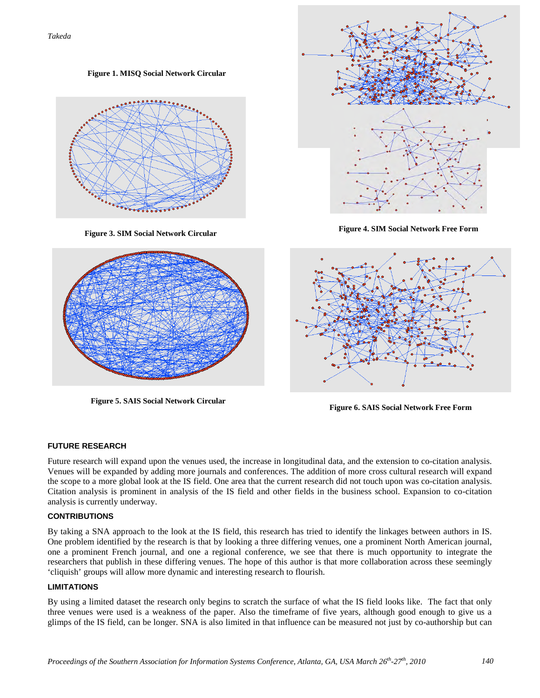**Figure 1. MISQ Social Network Circular**



**Takeda SNA of the IS Field in the IS Field in the IS Field in the IS Field in the IS Field in the IS Field in the IS Field in the IS Field in the IS Field in the IS Field in the IS Field in the IS Field in the IS Field Figure 2. Mission Free Formation** 



**Figure 5. SAIS Social Network Circular**





**Figure 6. SAIS Social Network Free Form**

#### **FUTURE RESEARCH**

Future research will expand upon the venues used, the increase in longitudinal data, and the extension to co-citation analysis. Venues will be expanded by adding more journals and conferences. The addition of more cross cultural research will expand the scope to a more global look at the IS field. One area that the current research did not touch upon was co-citation analysis. Citation analysis is prominent in analysis of the IS field and other fields in the business school. Expansion to co-citation analysis is currently underway.

#### **CONTRIBUTIONS**

By taking a SNA approach to the look at the IS field, this research has tried to identify the linkages between authors in IS. One problem identified by the research is that by looking a three differing venues, one a prominent North American journal, one a prominent French journal, and one a regional conference, we see that there is much opportunity to integrate the researchers that publish in these differing venues. The hope of this author is that more collaboration across these seemingly 'cliquish' groups will allow more dynamic and interesting research to flourish.

#### **LIMITATIONS**

By using a limited dataset the research only begins to scratch the surface of what the IS field looks like. The fact that only three venues were used is a weakness of the paper. Also the timeframe of five years, although good enough to give us a glimps of the IS field, can be longer. SNA is also limited in that influence can be measured not just by co-authorship but can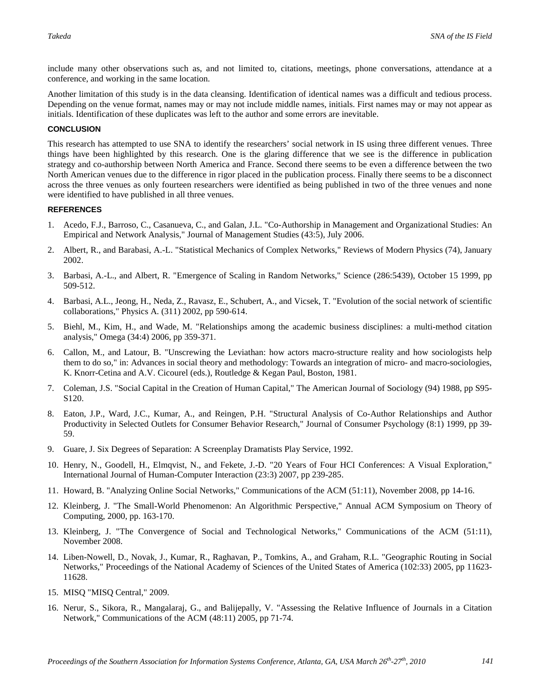include many other observations such as, and not limited to, citations, meetings, phone conversations, attendance at a conference, and working in the same location.

Another limitation of this study is in the data cleansing. Identification of identical names was a difficult and tedious process. Depending on the venue format, names may or may not include middle names, initials. First names may or may not appear as initials. Identification of these duplicates was left to the author and some errors are inevitable.

#### **CONCLUSION**

This research has attempted to use SNA to identify the researchers' social network in IS using three different venues. Three things have been highlighted by this research. One is the glaring difference that we see is the difference in publication strategy and co-authorship between North America and France. Second there seems to be even a difference between the two North American venues due to the difference in rigor placed in the publication process. Finally there seems to be a disconnect across the three venues as only fourteen researchers were identified as being published in two of the three venues and none were identified to have published in all three venues.

#### **REFERENCES**

- 1. Acedo, F.J., Barroso, C., Casanueva, C., and Galan, J.L. "Co-Authorship in Management and Organizational Studies: An Empirical and Network Analysis," Journal of Management Studies (43:5), July 2006.
- 2. Albert, R., and Barabasi, A.-L. "Statistical Mechanics of Complex Networks," Reviews of Modern Physics (74), January 2002.
- 3. Barbasi, A.-L., and Albert, R. "Emergence of Scaling in Random Networks," Science (286:5439), October 15 1999, pp 509-512.
- 4. Barbasi, A.L., Jeong, H., Neda, Z., Ravasz, E., Schubert, A., and Vicsek, T. "Evolution of the social network of scientific collaborations," Physics A. (311) 2002, pp 590-614.
- 5. Biehl, M., Kim, H., and Wade, M. "Relationships among the academic business disciplines: a multi-method citation analysis," Omega (34:4) 2006, pp 359-371.
- 6. Callon, M., and Latour, B. "Unscrewing the Leviathan: how actors macro-structure reality and how sociologists help them to do so," in: Advances in social theory and methodology: Towards an integration of micro- and macro-sociologies, K. Knorr-Cetina and A.V. Cicourel (eds.), Routledge & Kegan Paul, Boston, 1981.
- 7. Coleman, J.S. "Social Capital in the Creation of Human Capital," The American Journal of Sociology (94) 1988, pp S95- S120.
- 8. Eaton, J.P., Ward, J.C., Kumar, A., and Reingen, P.H. "Structural Analysis of Co-Author Relationships and Author Productivity in Selected Outlets for Consumer Behavior Research," Journal of Consumer Psychology (8:1) 1999, pp 39- 59.
- 9. Guare, J. Six Degrees of Separation: A Screenplay Dramatists Play Service, 1992.
- 10. Henry, N., Goodell, H., Elmqvist, N., and Fekete, J.-D. "20 Years of Four HCI Conferences: A Visual Exploration," International Journal of Human-Computer Interaction (23:3) 2007, pp 239-285.
- 11. Howard, B. "Analyzing Online Social Networks," Communications of the ACM (51:11), November 2008, pp 14-16.
- 12. Kleinberg, J. "The Small-World Phenomenon: An Algorithmic Perspective," Annual ACM Symposium on Theory of Computing, 2000, pp. 163-170.
- 13. Kleinberg, J. "The Convergence of Social and Technological Networks," Communications of the ACM (51:11), November 2008.
- 14. Liben-Nowell, D., Novak, J., Kumar, R., Raghavan, P., Tomkins, A., and Graham, R.L. "Geographic Routing in Social Networks," Proceedings of the National Academy of Sciences of the United States of America (102:33) 2005, pp 11623- 11628.
- 15. MISQ "MISQ Central," 2009.
- 16. Nerur, S., Sikora, R., Mangalaraj, G., and Balijepally, V. "Assessing the Relative Influence of Journals in a Citation Network," Communications of the ACM (48:11) 2005, pp 71-74.